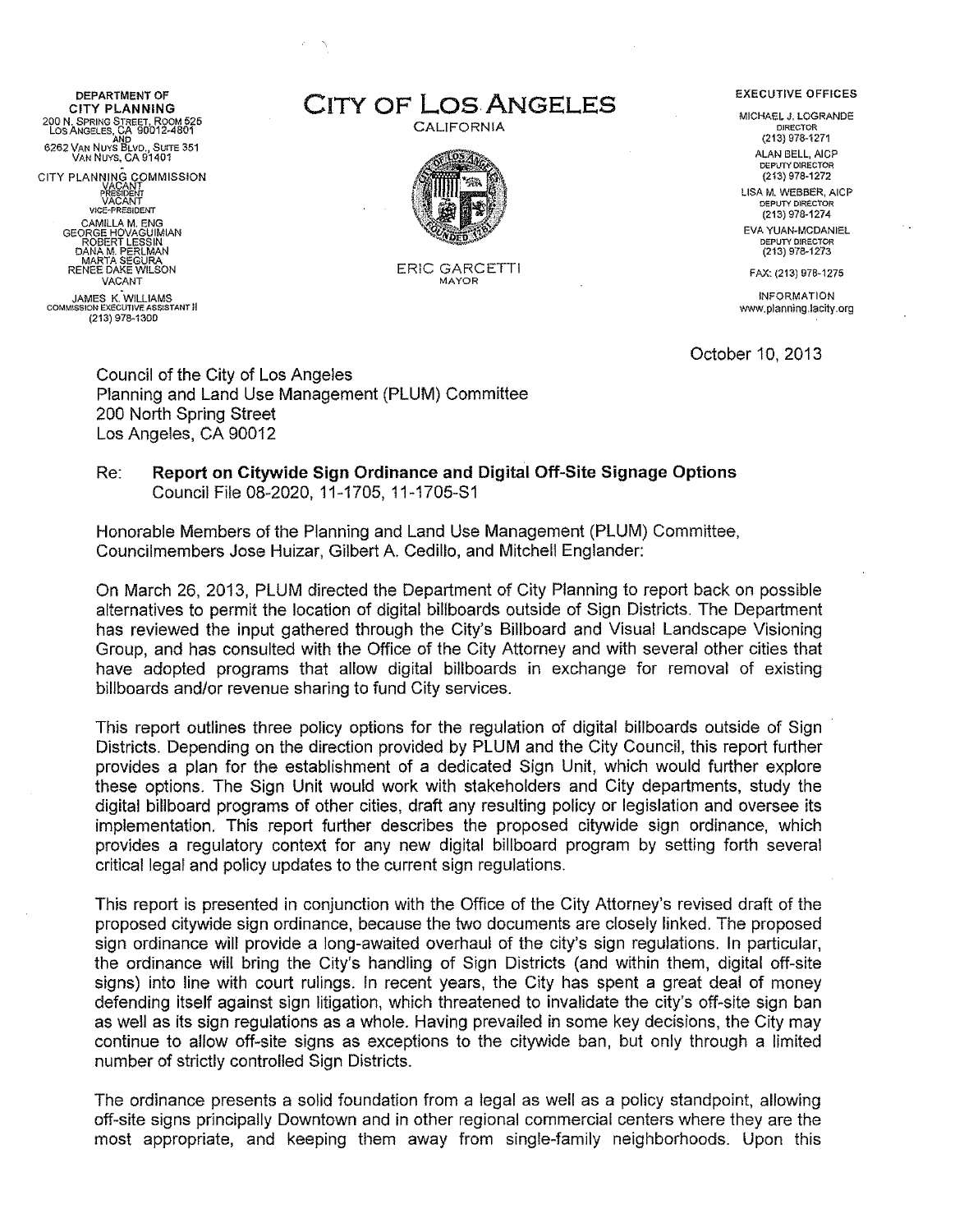DEPARTMENT OF<br>CITY PLANNING 200 N. SPRING STREET, ROOM 525 Los ANGElES, CA 90012-4801 AND 6262 VAN NUYS BLVD., SUITE 351<br>VAN NUYS, CA 91401<br>CITY PLANNING COMMISSION

VACANT<br>PRESIDENT<br>VACANT VAG-HESIDENT<br>CAMILLA M. ENG<br>GEORGE HOVAGUIMIAN<br>ROBERT LESSIN<br>DANA M. PERLMAN<br>MARTA SEGURA<br>RENEE DAKE WILSON VACANT JAMES K. WILLIAMS COMMISSION EXECUTIVE ASSISTANT II (213) 978-1300

CITY PLANNING CITY OF **LOS ANGELES** EXECUTIVE OFFICES

CALIFORNIA



ERIC GARCETTI MAYOR

MICHAEL J. LOGRANDE DIRECTOR (213) 978-1271 ALAN BELL, AICP DEPUTY DIRECTOR (213) 978-1272 LISA M. WEBBER, AICP DEPUTY DIRECTOR (213) 978-1274 EVA YUAN-MCDANIEL DEPUTY DIRECTOR (213) 978-1273

FAX: (213) 97B· 1275

INFORMATION www.planning.lacity.org

October 10, 2013

Council of the City of Los Angeles Planning and Land Use Management (PLUM) Committee 200 North Spring Street Los Angeles, CA 90012

### Re: **Report on Citywide Sign Ordinance and Digital Off-Site Signage Options**  Council File 08-2020, 11-1705, 11-1705-S1

Honorable Members of the Planning and Land Use Management (PLUM) Committee, Councilmembers Jose Huizar, Gilbert A. Cedillo, and Mitchell Englander:

On March 26, 2013, PLUM directed the Department of City Planning to report back on possible alternatives to permit the location of digital billboards outside of Sign Districts. The Department has reviewed the input gathered through the City's Billboard and Visual Landscape Visioning Group, and has consulted with the Office of the City Attorney and with several other cities that have adopted programs that allow digital billboards in exchange for removal of existing billboards and/or revenue sharing to fund City services.

This report outlines three policy options for the regulation of digital billboards outside of Sign Districts. Depending on the direction provided by PLUM and the City Council, this report further provides a plan for the establishment of a dedicated Sign Unit, which would further explore these options. The Sign Unit would work with stakeholders and City departments, study the digital billboard programs of other cities, draft any resulting policy or legislation and oversee its implementation. This report further describes the proposed citywide sign ordinance, which provides a regulatory context for any new digital billboard program by setting forth several critical legal and policy updates to the current sign regulations.

This report is presented in conjunction with the Office of the City Attorney's revised draft of the proposed citywide sign ordinance, because the two documents are closely linked. The proposed sign ordinance will provide a long-awaited overhaul of the city's sign regulations. In particular, the ordinance will bring the City's handling of Sign Districts (and within them, digital off-site signs) into line with court rulings. In recent years, the City has spent a great deal of money defending itself against sign litigation, which threatened to invalidate the city's off-site sign ban as well as its sign regulations as a whole. Having prevailed in some key decisions, the City may continue to alfow off-site signs as exceptions to the citywide ban, but only through a limited number of strictly controlled Sign Districts.

The ordinance presents a solid foundation from a legal as well as a policy standpoint, allowing off-site signs principally Downtown and in other regional commercial centers where they are the most appropriate, and keeping them away from single-family neighborhoods. Upon this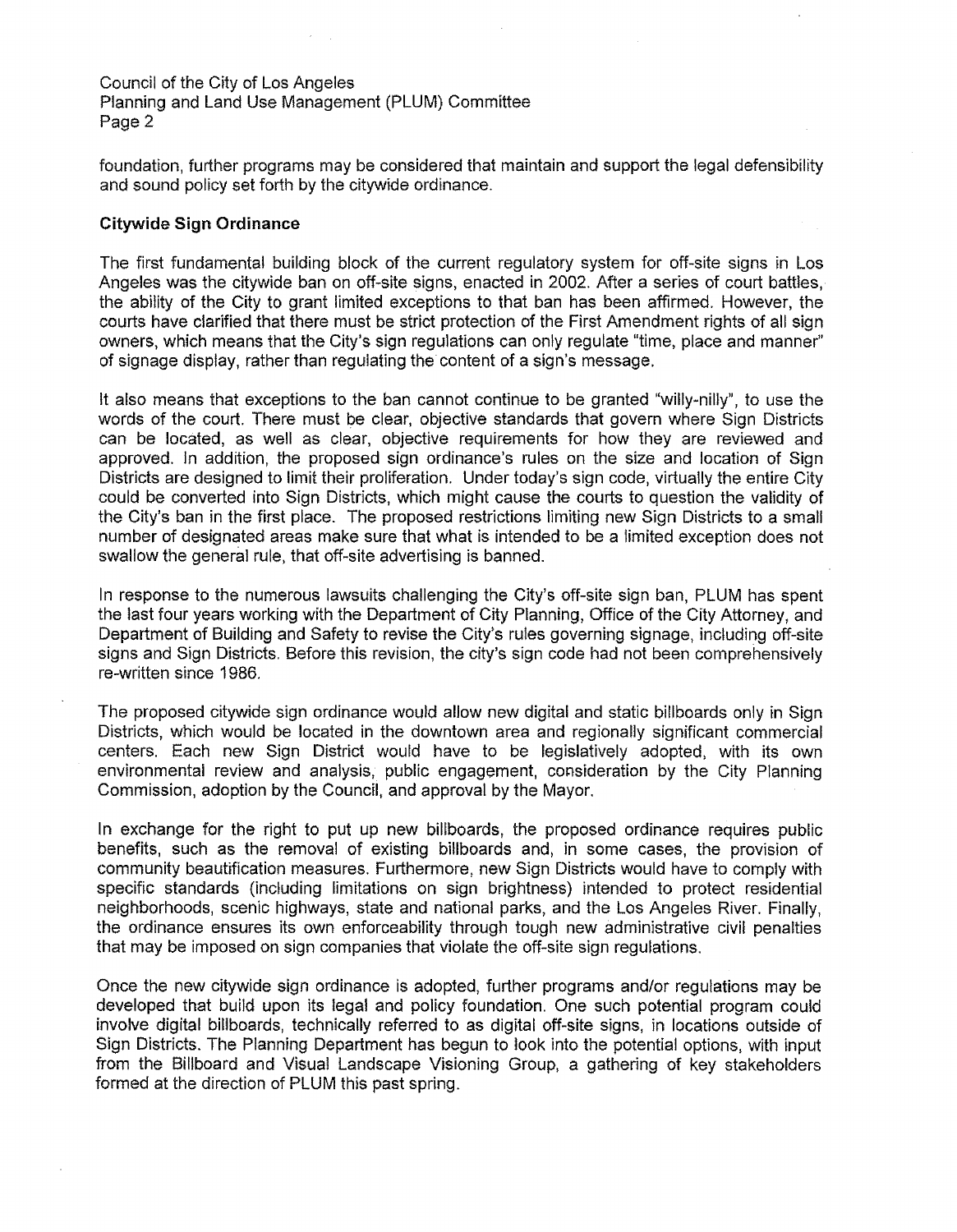foundation, further programs may be considered that maintain and support the legal defensibility and sound policy set forth by the citywide ordinance.

### **Citywide Sign Ordinance**

The first fundamental building block of the current regulatory system for off-site signs in Los Angeles was the citywide ban on off-site signs, enacted in 2002. After a series of court battles, the ability of the City to grant limited exceptions to that ban has been affirmed. However, the courts have clarified that there must be strict protection of the First Amendment rights of all sign owners, which means that the City's sign regulations can only regulate "time, place and manner" of signage display, rather than regulating the content of a sign's message.

It also means that exceptions to the ban cannot continue to be granted "willy-nilly", to use the words of the court. There must be clear, objective standards that govern where Sign Districts can be located, as well as clear, objective requirements for how they are reviewed and approved. In addition, the proposed sign ordinance's rules on the size and location of Sign Districts are designed to limit their proliferation. Under today's sign code, virtually the entire City could be converted into Sign Districts, which might cause the courts to question the validity of the City's ban in the first place. The proposed restrictions limiting new Sign Districts to a small number of designated areas make sure that what is intended to be a limited exception does not swallow the general rule, that off-site advertising is banned.

In response to the numerous lawsuits challenging the City's off-site sign ban, PLUM has spent the last four years working with the Department of City Planning, Office of the City Attorney, and Department of Building and Safety to revise the City's rules governing signage, including off-site signs and Sign Districts. Before this revision, the city's sign code had not been comprehensively re-written since 1986.

The proposed citywide sign ordinance would allow new digital and static billboards only in Sign Districts, which would be located in the downtown area and regionally significant commercial centers. Each new Sign District would have to be legislatively adopted, with its own environmental review and analysis, public engagement, consideration by the City Planning Commission, adoption by the Council, and approval by the Mayor.

In exchange for the right to put up new billboards, the proposed ordinance requires public benefits, such as the removal of existing billboards and, in some cases, the provision of community beautification measures. Furthermore, new Sign Districts would have to comply with specific standards (including limitations on sign brightness) intended to protect residential neighborhoods, scenic highways, state and national parks, and the Los Angeles River. Finally, the ordinance ensures its own enforceability through tough new administrative civil penalties that may be imposed on sign companies that violate the off-site sign regulations.

Once the new citywide sign ordinance is adopted, further programs and/or regulations may be developed that build upon its legal and policy foundation. One such potential program could involve digital billboards, technically referred to as digital off-site signs, in locations outside of Sign Districts. The Planning Department has begun to look into the potential options, with input from the Billboard and Visual Landscape Visioning Group, a gathering of key stakeholders formed at the direction of PLUM this past spring.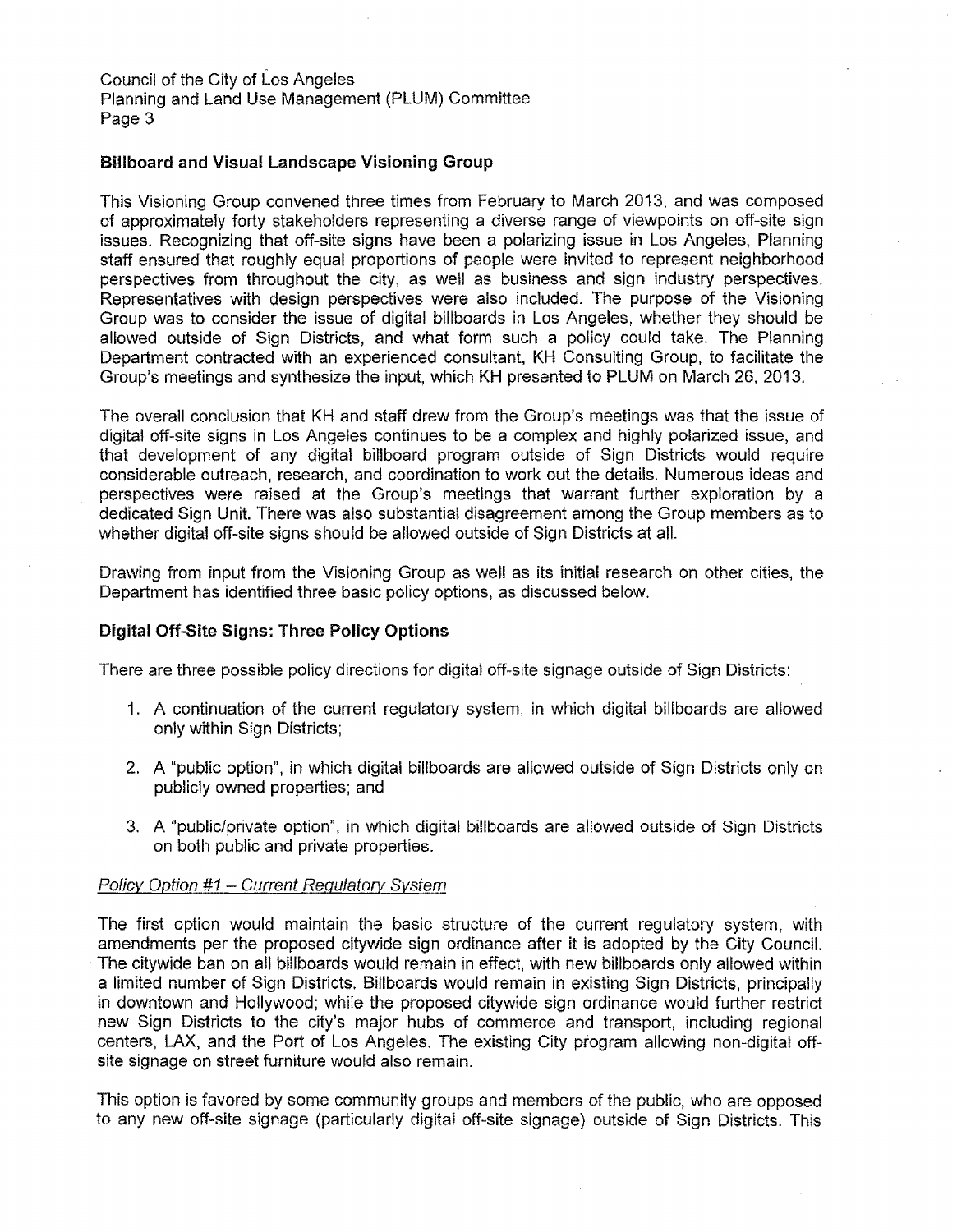# **Billboard and Visual Landscape Visioning Group**

This Visioning Group convened three times from February to March 2013, and was composed of approximately forty stakeholders representing a diverse range of viewpoints on off-site sign issues. Recognizing that off-site signs have been a polarizing issue in Los Angeles, Planning staff ensured that roughly equal proportions of people were invited to represent neighborhood perspectives from throughout the city, as well as business and sign industry perspectives. Representatives with design perspectives were also included. The purpose of the Visioning Group was to consider the issue of digital billboards in Los Angeles, whether they should be allowed outside of Sign Districts, and what form such a policy could take. The Planning Department contracted with an experienced consultant, KH Consulting Group, to facilitate the Group's meetings and synthesize the input, which KH presented to PLUM on March 26, 2013.

The overall conclusion that KH and staff drew from the Group's meetings was that the issue of digital off-site signs in Los Angeles continues to be a complex and highly polarized issue, and that development of any digital billboard program outside of Sign Districts would require considerable outreach, research, and coordination to work out the details. Numerous ideas and perspectives were raised at the Group's meetings that warrant further exploration by a dedicated Sign Unit. There was also substantial disagreement among the Group members as to whether digital off-site signs should be allowed outside of Sign Districts at all.

Drawing from input from the Visioning Group as well as its initial research on other cities, the Department has identified three basic policy options, as discussed below.

# **Digital Off-Site Signs: Three Policy Options**

There are three possible policy directions for digital off-site signage outside of Sign Districts:

- 1. A continuation of the current regulatory system, in which digital billboards are allowed only within Sign Districts;
- 2. A "public option", in which digital billboards are allowed outside of Sign Districts only on publicly owned properties; and
- 3. A "public/private option", in which digital billboards are allowed outside of Sign Districts on both public and private properties.

# Policy Option #1 - Current Regulatory System

The first option would maintain the basic structure of the current regulatory system, with amendments per the proposed citywide sign ordinance after it is adopted by the City Council. The citywide ban on all billboards would remain in effect, with new billboards only allowed within a limited number of Sign Districts. Billboards would remain in existing Sign Districts, principally in downtown and Hollywood; while the proposed citywide sign ordinance would further restrict new Sign Districts to the city's major hubs of commerce and transport, including regional centers, LAX, and the Port of Los Angeles. The existing City program allowing non-digital offsite signage on street furniture would also remain.

This option is favored by some community groups and members of the public, who are opposed to any new off-site signage (particularly digital off-site signage) outside of Sign Districts. This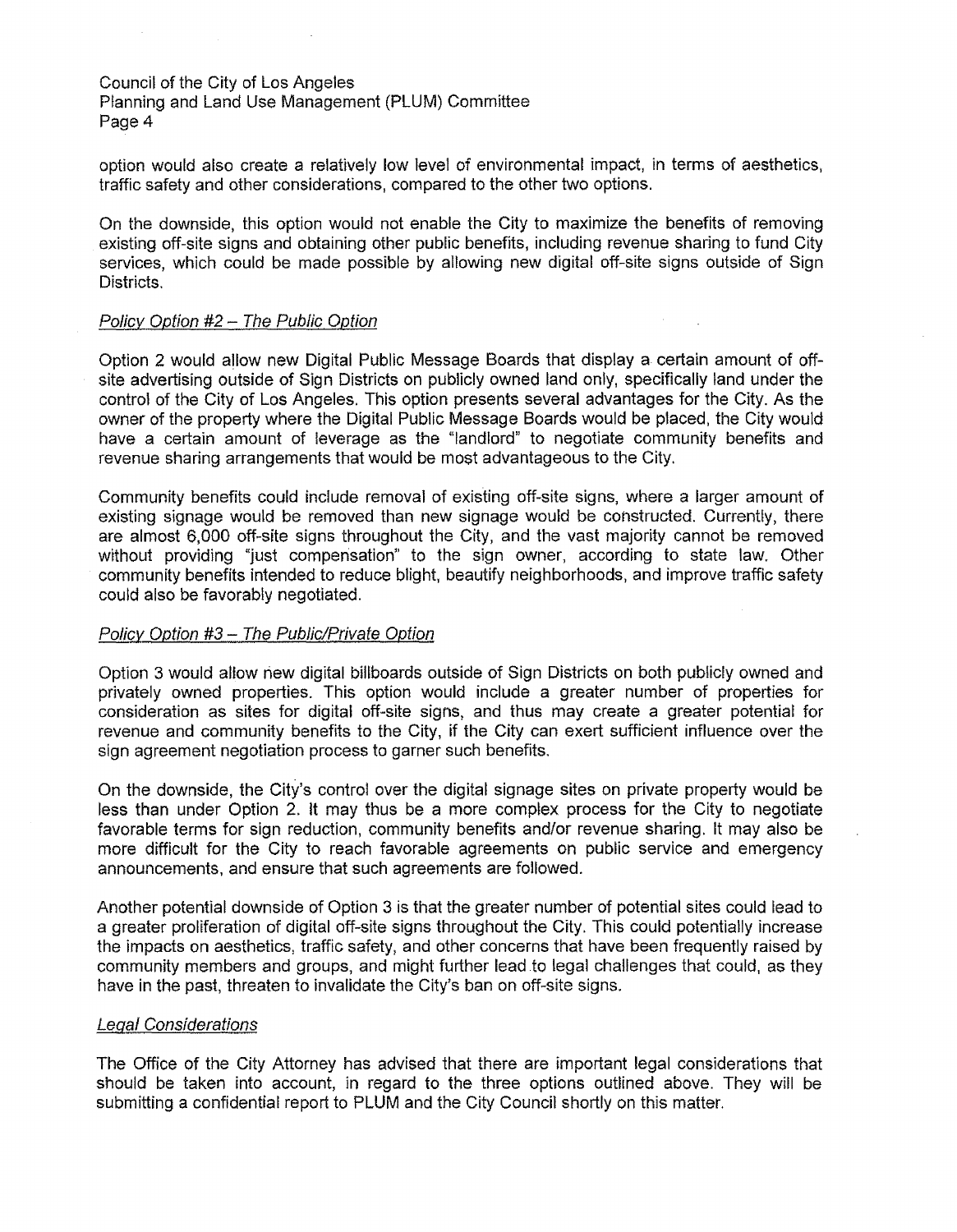Planning and Land Use Management (PLUM) Committee Page 4

option would also create a relatively low level of environmental impact, in terms of aesthetics, traffic safety and other considerations, compared to the other two options.

On the downside, this option would not enable the City to maximize the benefits of removing existing off-site signs and obtaining other public benefits, including revenue sharing to fund City services, which could be made possible by allowing new digital off-site signs outside of Sign Districts.

# Policy Option #2 - The Public Option

Option 2 would allow new Digital Public Message Boards that display a certain amount of offsite advertising outside of Sign Districts on publicly owned land only, specifically land under the control of the City of Los Angeles. This option presents several advantages for the City. As the owner of the property where the Digital Public Message Boards would be placed, the City would have a certain amount of leverage as the "landlord" to negotiate community benefits and revenue sharing arrangements that would be most advantageous to the City.

Community benefits could include removal of existing off-site signs, where a larger amount of existing signage would be removed than new signage would be constructed. Currently, there are almost 6,000 off-site signs throughout the City, and the vast majority cannot be removed without providing "just compensation" to the sign owner, according to state law. Other community benefits intended to reduce blight, beautify neighborhoods, and improve traffic safety could also be favorably negotiated.

# Policy Option #3 - The Public/Private Option

Option 3 would allow riew digital billboards outside of Sign Districts on both publicly owned and privately owned properties. This option would include a greater number of properties for consideration as sites for digital off-site signs, and thus may create a greater potential for revenue and community benefits to the City, if the City can exert sufficient influence over the sign agreement negotiation process to garner such benefits.

On the downside, the City's control over the digital signage sites on private property would be less than under Option 2. It may thus be a more complex process for the City to negotiate favorable terms for sign reduction, community benefits and/or revenue sharing. It may also be more difficult for the City to reach favorable agreements on public service and emergency announcements, and ensure that such agreements are followed.

Another potential downside of Option 3 is that the greater number of potential sites could lead to a greater proliferation of digital off-site signs throughout the City. This could potentially increase the impacts on aesthetics, traffic safety, and other concerns that have been frequently raised by community members and groups, and might further lead to legal challenges that could, as they have in the past, threaten to invalidate the City's ban on off-site signs.

# Legal Considerations

The Office of the City Attorney has advised that there are important legal considerations that should be taken into account, in regard to the three options outlined above. They will be submitting a confidential report to PLUM and the City Council shortly on this matter.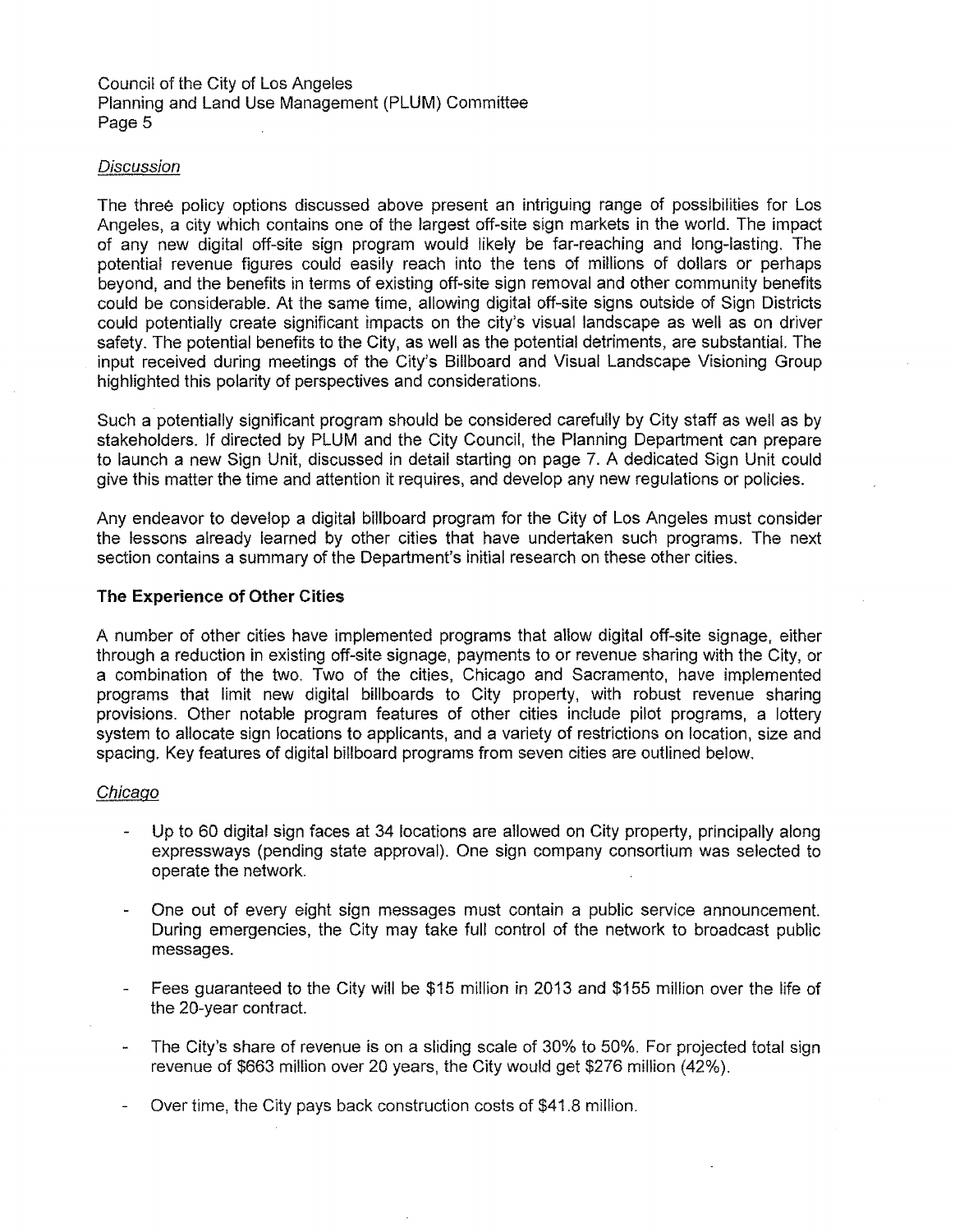# **Discussion**

The three pollcy options discussed above present an intriguing range of possibilities for Los Angeles, a city which contains one of the largest off-site sign markets in the world. The impact of any new digital off-site sign program would likely be far-reaching and long-lasting. The potential revenue figures could easily reach into the tens of millions of dollars or perhaps beyond, and the benefits in terms of existing off-site sign removal and other community benefits could be considerable. At the same time, allowing digital off-site signs outside of Sign Districts could potentially create significant impacts on the city's visual landscape as well as on driver safety. The potential benefits to the City, as well as the potential detriments, are substantial. The input received during meetings of the City's Billboard and Visual Landscape Visioning Group highlighted this polarity of perspectives and considerations.

Such a potentially significant program should be considered carefully by City staff as well as by stakeholders. lf directed by PLUM and the City Council, the Planning Department can prepare to launch a new Sign Unit, discussed in detail starting on page 7. A dedicated Sign Unit could give this matter the time and attention it requires, and develop any new regulations or policies.

Any endeavor to develop a digital billboard program for the City of Los Angeles must consider the lessons already learned by other cities that have undertaken such programs. The next section contains a summary of the Department's initial research on these other cities.

### **The Experience of Other Cities**

A number of other cities have implemented programs that allow digital off-site signage, either through a reduction in existing off-site signage, payments to or revenue sharing with the City, or a combination of the two. Two of the cities, Chicago and Sacramento, have implemented programs that limit new digital billboards to City property, with robust revenue sharing provisions. Other notable program features of other cities include pilot programs, a lottery system to allocate sign locations to applicants, and a variety of restrictions on location, size and spacing. Key features of digital billboard programs from seven cities are outlined below.

### Chicago

- Up to 60 digital sign faces at 34 locations are allowed on City property, principally along expressways (pending state approval). One sign company consortium was selected to operate the network.
- One out of every eight sign messages must contain a public service announcement. During emergencies, the City may take full control of the network to broadcast public messages.
- Fees guaranteed to the City will be \$15 million in 2013 and \$155 mlllion over the life of the 20-year contract.
- The City's share of revenue is on a sliding scale of 30% to 50%. For projected total sign  $\overline{\phantom{a}}$ revenue of \$663 million over 20 years, the City would get \$276 million (42%).
- Over time, the City pays back construction costs of \$41.8 million.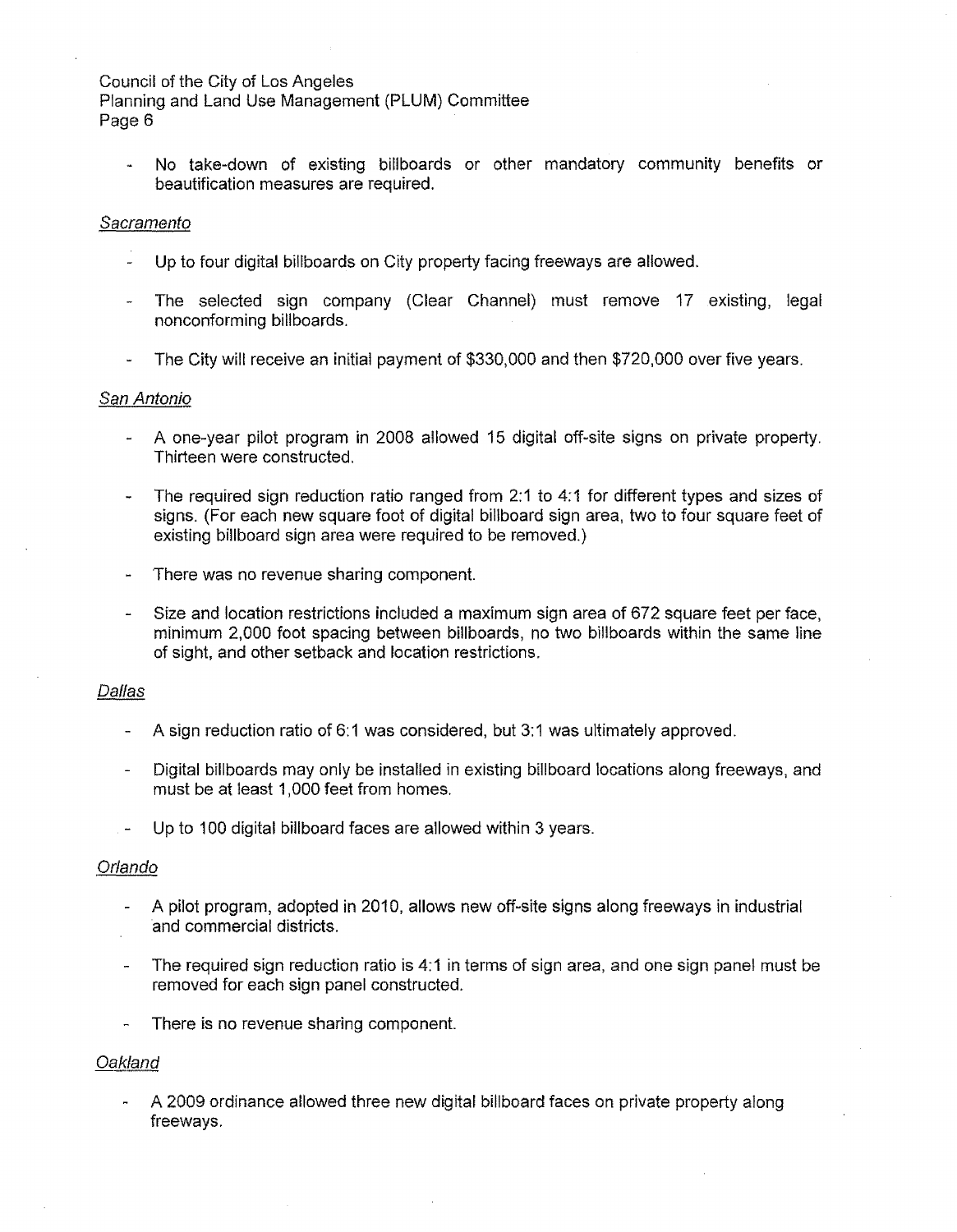Planning and Land Use Management (PLUM) Committee Page 6

No take-down of existing billboards or other mandatory community benefits or beautification measures are required.

### Sacramento

- Up to four digital billboards on City property facing freeways are allowed.
- The selected sign company (Clear Channel) must remove 17 existing, legal nonconforming billboards.
- The City will receive an initial payment of \$330,000 and then \$720,000 over five years.

### San Antonio

- A one-year pilot program in 2008 allowed 15 digital off-site signs on private property. Thirteen were constructed.
- The required sign reduction ratio ranged from 2:1 to 4:1 for different types and sizes of  $\omega$ signs. (For each new square foot of digital billboard sign area, two to four square feet of existing billboard sign area were required to be removed.)
- There was no revenue sharing component.
- Size and location restrictions included a maximum sign area of 672 square feet per face, minimum 2,000 foot spacing between billboards, no two billboards within the same line of sight, and other setback and location restrictions.

### Dallas

- A sign reduction ratio of 6:1 was considered, but 3:1 was ultimately approved.
- Digital billboards may only be installed in existing billboard locations along freeways, and must be at least 1,000 feet from homes.
- Up to 100 digital billboard faces are allowed within 3 years.

### Orlando

- A pilot program, adopted in 2010, allows new off-site signs along freeways in industrial and commercial districts.
- The required sign reduction ratio is 4:1 in terms of sign area, and one sign panel must be removed for each sign panel constructed.
- There is no revenue sharing component.

# Oakland

A 2009 ordinance allowed three new digital billboard faces on private property along freeways.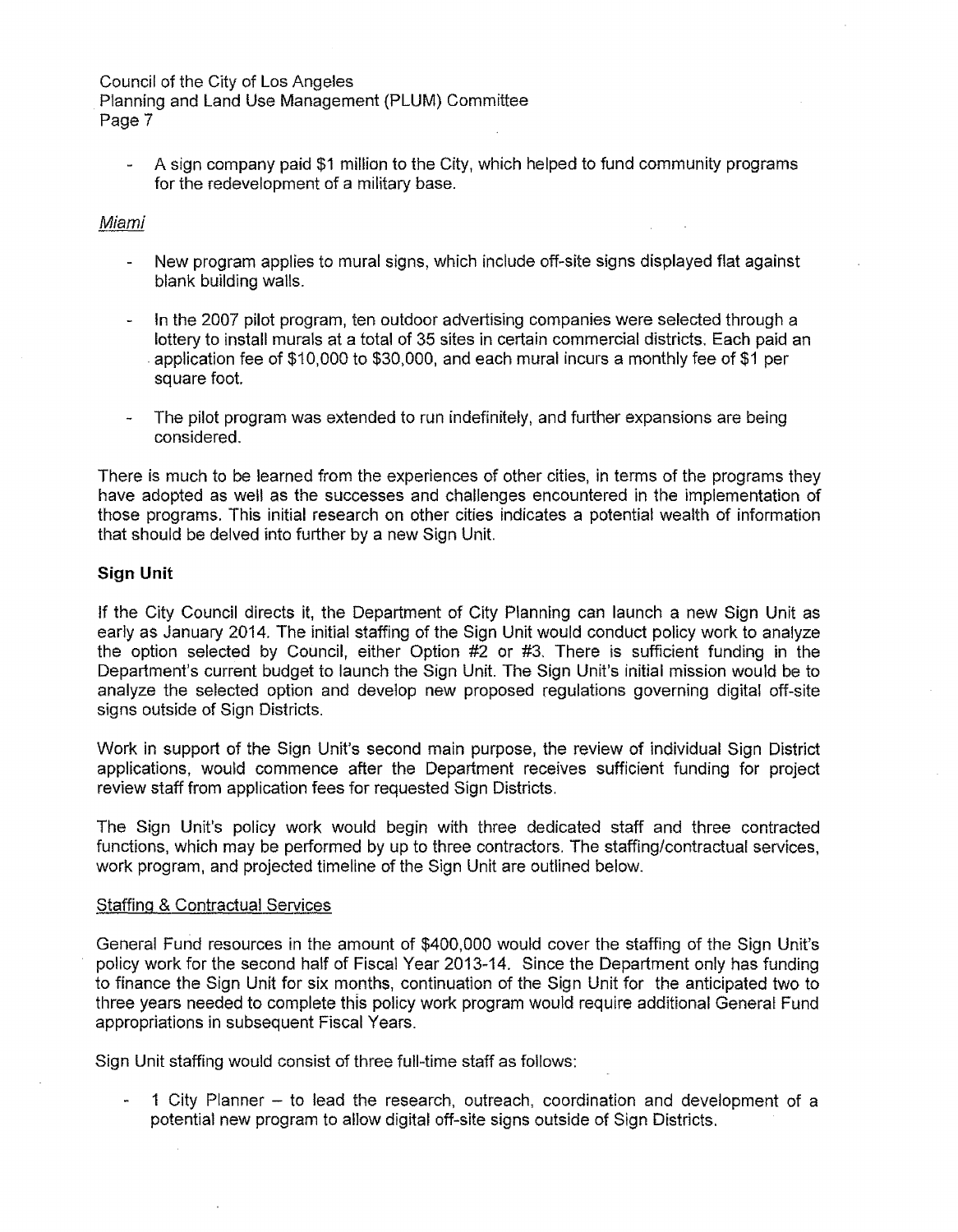Planning and Land Use Management {PLUM) Committee Page 7

A sign company paid \$1 million to the City, which helped to fund community programs for the redevelopment of a military base.

### Miami

- New program applies to mural signs, which include off-site signs displayed flat against blank building walls.
- In the 2007 pilot program, ten outdoor advertising companies were selected through a lottery to install murals at a total of 35 sites in certain commercial districts. Each paid an . application fee of \$10,000 to \$30,000, and each mural incurs a monthly fee of \$1 per square foot.
- The pilot program was extended to run indefinitely, and further expansions are being considered.

There is much to be learned from the experiences of other cities, in terms of the programs they have adopted as well as the successes and challenges encountered in the implementation of those programs. This initial research on other cities indicates a potential wealth of information that should be delved into further by a new Sign Unit.

# **Sign Unit**

If the City Council directs it, the Department of City Planning can launch a new Sign Unit as early as January 2014. The initial staffing of the Sign Unit would conduct policy work to analyze the option selected by Council, either Option #2 or #3. There is sufficient funding in the Department's current budget to launch the Sign Unit. The Sign Unit's initial mission would be to analyze the selected option and develop new proposed regulations governing digital off-site signs outside of Sign Districts.

Work in support of the Sign Unit's second main purpose, the review of individual Sign District applications, would commence after the Department receives sufficient funding for project review staff from application fees for requested Sign Districts.

The Sign Unit's policy work would begin with three dedicated staff and three contracted functions, which may be performed by up to three contractors. The staffing/contractual services, work program, and projected timeline of the Sign Unit are outlined below.

### Staffing & Contractual Services

General Fund resources in the amount of \$400,000 would cover the staffing of the Sign Unit's policy work for the second half of Fiscal Year 2013-14. Since the Department only has funding to finance the Sign Unit for six months, continuation of the Sign Unit for the anticipated two to three years needed to complete this policy work program would require additional General Fund appropriations in subsequent Fiscal Years.

Sign Unit staffing would consist of three full-time staff as follows:

1 City Planner - to lead the research, outreach, coordination and development of a potential new program to allow digital off-site signs outside of Sign Districts.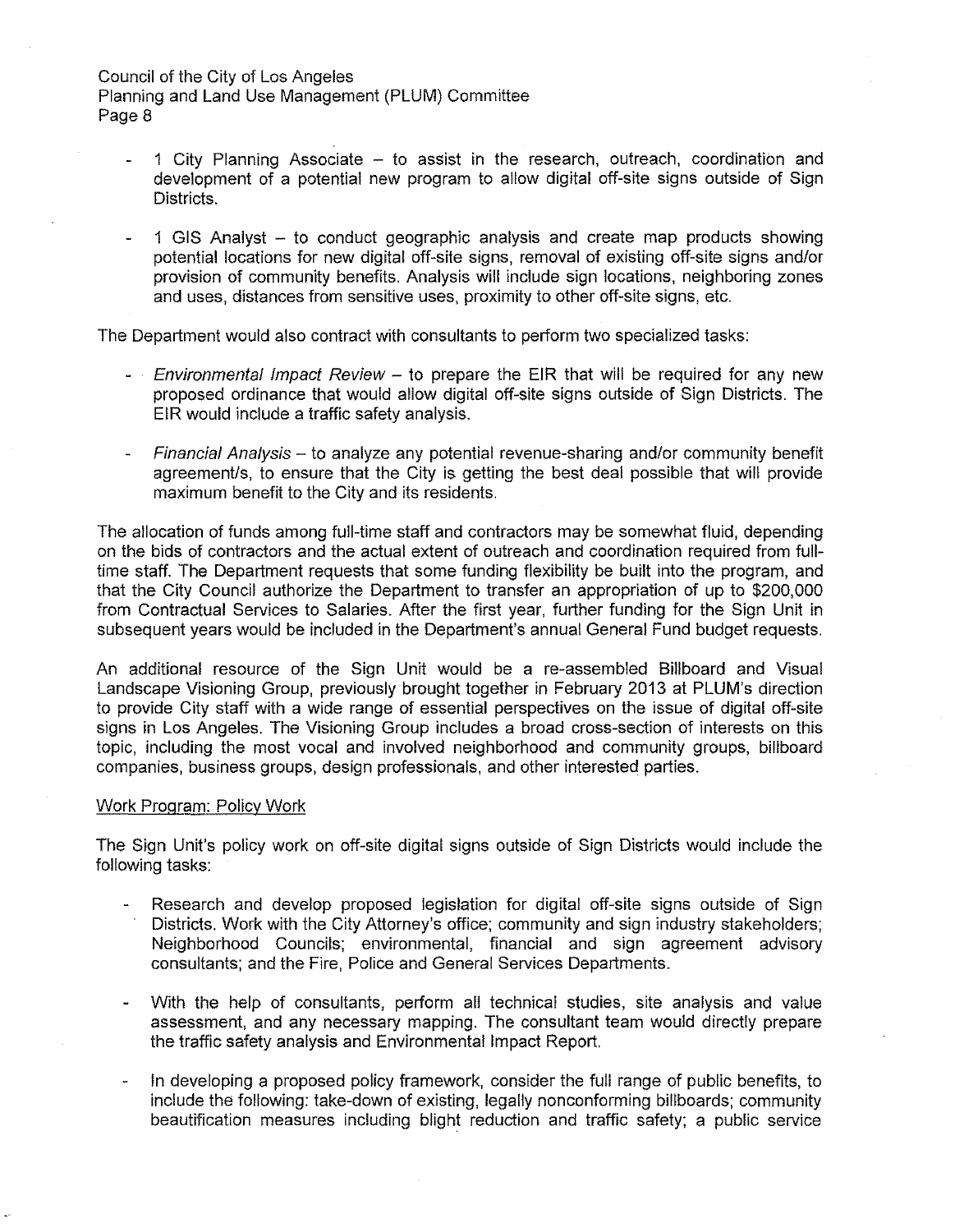- 1 City Planning Associate  $-$  to assist in the research, outreach, coordination and development of a potential new program to allow digital off-site signs outside of Sign Districts.
- 1 GIS Analyst to conduct geographic analysis and create map products showing potential locations for new digital off-site signs, removal of existing off-site signs and/or provision of community benefits. Analysis will include sign locations, neighboring zones and uses, distances from sensitive uses, proximity to other off-site signs, etc.

The Department would also contract with consultants to perform two specialized tasks:

- *Environmental Impact Review -* to prepare the EIR that will be required for any new proposed ordinance that would allow digital off-site signs outside of Sign Districts. The EIR would include a traffic safety analysis.
- $F$ inancial Analysis to analyze any potential revenue-sharing and/or community benefit agreement/s, to ensure that the City is getting the best deal possible that will provide maximum benefit to the City and its residents.

The allocation of funds among full-time staff and contractors may be somewhat fluid, depending on the bids of contractors and the actual extent of outreach and coordination required from fulltime staff. The Department requests that some funding flexibility be built into the program, and that the City Council authorize the Department to transfer an appropriation of up to \$200,000 from Contractual Services to Salaries. After the first year, further funding for the Sign Unit in subsequent years would be included in the Department's annual General Fund budget requests.

An additional resource of the Sign Unit would be a re-assembled Billboard and Visual Landscape Visioning Group, previously brought together in February 2013 at PLUM's direction to provide City staff with a wide range of essential perspectives on the issue of digital off-site signs in Los Angeles. The Visioning Group includes a broad cross-section of interests on this topic, including the most vocal and involved neighborhood and community groups, billboard companies, business groups, design professionals, and other interested parties.

### Work Program: Policy Work

The Sign Unit's policy work on off-site digital signs outside of Sign Districts would include the following tasks:

- Research and develop proposed legislation for digital off-site signs outside of Sign Districts. Work with the City Attorney's office; community and sign industry stakeholders; Neighborhood Councils; environmental, financial and sign agreement advisory consultants; and the Fire, Police and General Services Departments.
- With the help of consultants, perform all technical studies, site analysis and value assessment, and any necessary mapping. The consultant team would directly prepare the traffic safety analysis and Environmental Impact Report.
- In developing a proposed policy framework, consider the full range of public benefits, to include the following: take-down of existing, legally nonconforming billboards; community beautification measures including blight reduction and traffic safety; a public service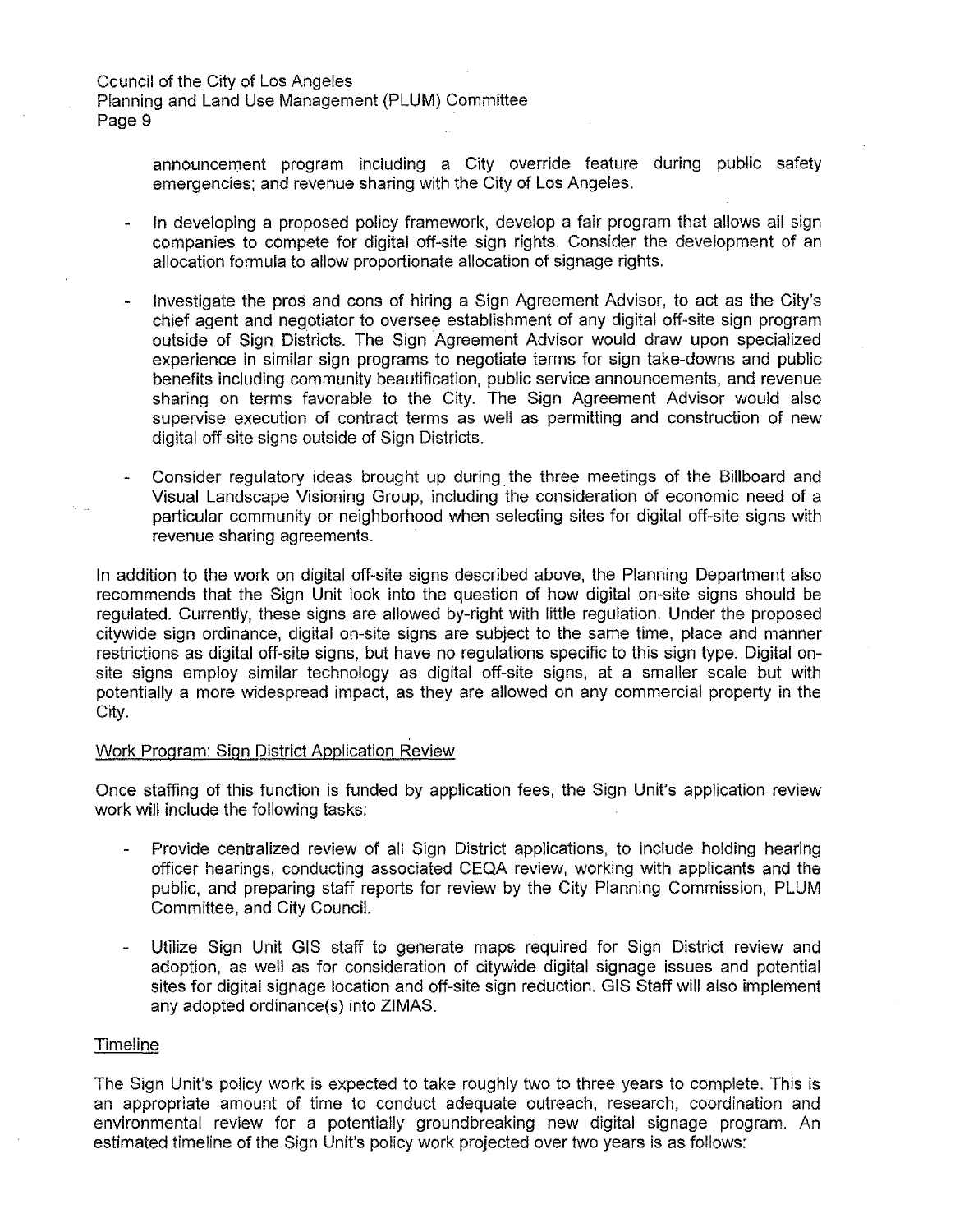Planning and Land Use Management (PLUM) Committee Page 9

> announcement program including a City override feature during public safety emergencies; and revenue sharing with the City of Los Angeles.

- In developing a proposed policy framework, develop a fair program that allows all sign companies to compete for digital off-site sign rights. Consider the development of an allocation formula to allow proportionate allocation of signage rights.
- Investigate the pros and cons of hiring a Sign Agreement Advisor, to act as the City's chief agent and negotiator to oversee establishment of any digital off-site sign program outside of Sign Districts. The Sign Agreement Advisor would draw upon specialized experience in similar sign programs to negotiate terms for sign take-downs and public benefits including community beautification, public service announcements, and revenue sharing on terms favorable to the City. The Sign Agreement Advisor would also supervise execution of contract terms as well as permitting and construction of new digital off-site signs outside of Sign Districts.
- Consider regulatory ideas brought up during. the three meetings of the Billboard and Visual Landscape Visioning Group, including the consideration of economic need of a particular community or neighborhood when selecting sites for digital off-site signs with revenue sharing agreements.

In addition to the work on digital off-site signs described above, the Planning Department also recommends that the Sign Unit look into the question of how digital on-site signs should be regulated. Currently, these signs are allowed by-right with little regulation. Under the proposed citywide sign ordinance, digital on-site signs are subject to the same time, place and manner restrictions as digital off-site signs, but have no regulations specific to this sign type. Digital onsite signs employ similar technology as digital off-site signs, at a smaller scale but with potentially a more widespread impact, as they are allowed on any commercial property in the City.

# Work Program: Sign District Application Review

Once staffing of this function is funded by application fees, the Sign Unit's application review work will include the following tasks:

- Provide centralized review of all Sign District applications, to include holding hearing officer hearings, conducting associated CEQA review, working with applicants and the public, and preparing staff reports for review by the City Planning Commission, PLUM Committee, and City Council.
- Utilize Sign Unit GIS staff to generate maps required for Sign District review and adoption, as well as for consideration of citywide digital signage issues and potential sites for digital signage location and off-site sign reduction. GIS Staff will also implement any adopted ordinance(s) into ZIMAS.

### Timeline

The Sign Unit's policy work is expected to take roughly two to three years to complete. This is an appropriate amount of time to conduct adequate outreach, research, coordination and environmental review for a potentially groundbreaking new digital signage program. An estimated timeline of the Sign Unit's policy work projected over two years is as follows: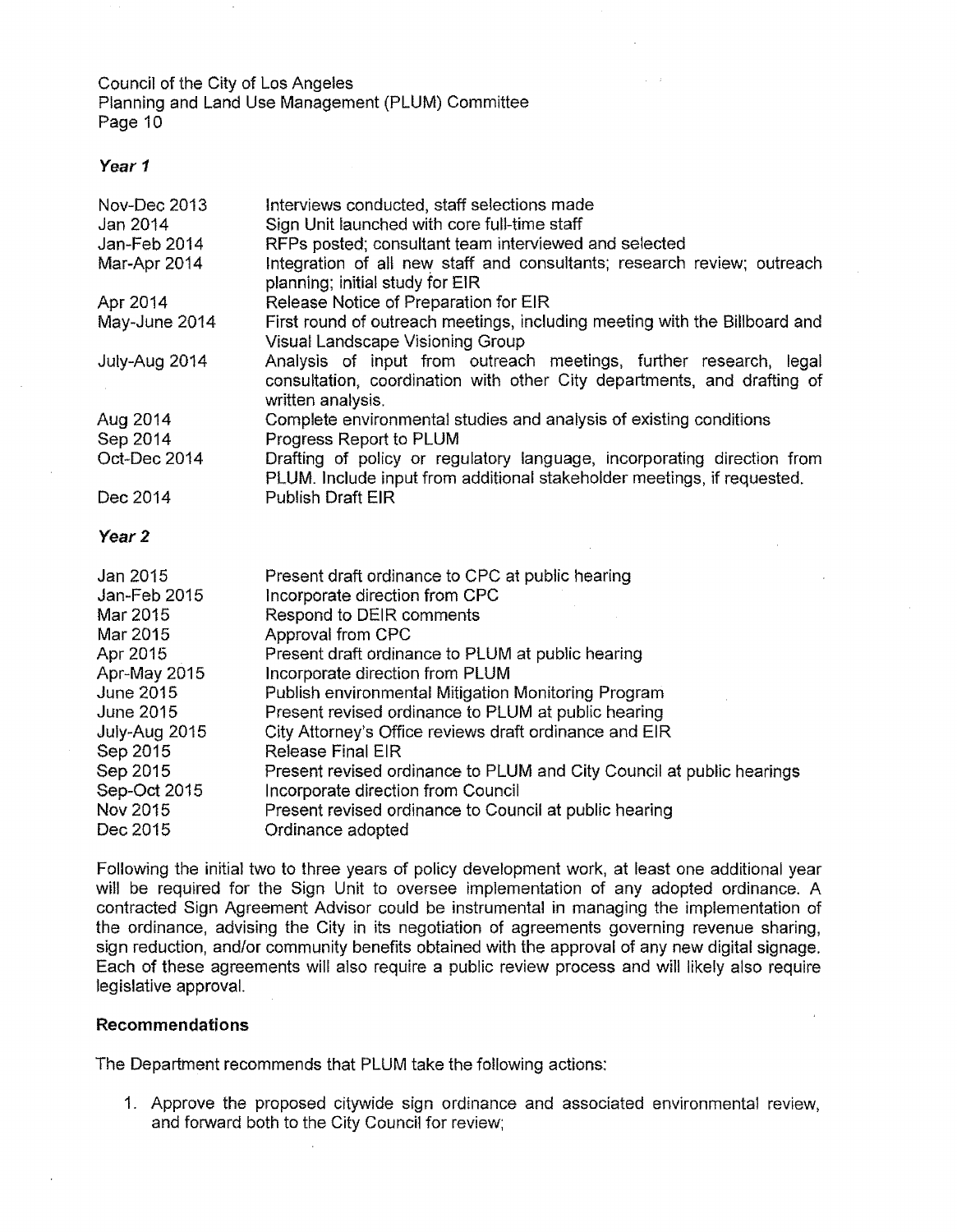### **Year 1**

| Nov-Dec 2013         | Interviews conducted, staff selections made                                                                                                                       |
|----------------------|-------------------------------------------------------------------------------------------------------------------------------------------------------------------|
| Jan 2014             | Sign Unit launched with core full-time staff                                                                                                                      |
| Jan-Feb 2014         | RFPs posted; consultant team interviewed and selected                                                                                                             |
| Mar-Apr 2014         | Integration of all new staff and consultants; research review; outreach<br>planning; initial study for EIR                                                        |
| Apr 2014             | Release Notice of Preparation for EIR                                                                                                                             |
| May-June 2014        | First round of outreach meetings, including meeting with the Billboard and<br>Visual Landscape Visioning Group                                                    |
| July-Aug 2014        | Analysis of input from outreach meetings, further research, legal<br>consultation, coordination with other City departments, and drafting of<br>written analysis. |
| Aug 2014             | Complete environmental studies and analysis of existing conditions                                                                                                |
| Sep 2014             | Progress Report to PLUM                                                                                                                                           |
| Oct-Dec 2014         | Drafting of policy or regulatory language, incorporating direction from<br>PLUM. Include input from additional stakeholder meetings, if requested.                |
| Dec 2014             | <b>Publish Draft EIR</b>                                                                                                                                          |
| Year 2               |                                                                                                                                                                   |
| Jan 2015             | Present draft ordinance to CPC at public hearing                                                                                                                  |
|                      |                                                                                                                                                                   |
| Jan-Feb 2015         | Incorporate direction from CPC                                                                                                                                    |
| Mar 2015             | Respond to DEIR comments                                                                                                                                          |
| Mar 2015             | Approval from CPC                                                                                                                                                 |
| Apr 2015             | Present draft ordinance to PLUM at public hearing                                                                                                                 |
| Apr-May 2015         | Incorporate direction from PLUM                                                                                                                                   |
| June 2015            | Publish environmental Mitigation Monitoring Program                                                                                                               |
| <b>June 2015</b>     | Present revised ordinance to PLUM at public hearing                                                                                                               |
| July-Aug 2015        | City Attorney's Office reviews draft ordinance and EIR                                                                                                            |
| Sep 2015             | <b>Release Final EIR</b>                                                                                                                                          |
| Sep 2015             | Present revised ordinance to PLUM and City Council at public hearings                                                                                             |
| Sep-Oct 2015         | Incorporate direction from Council                                                                                                                                |
| Nov 2015<br>Dec 2015 | Present revised ordinance to Council at public hearing<br>Ordinance adopted                                                                                       |

Following the initial two to three years of policy development work, at least one additional year will be required for the Sign Unit to oversee implementation of any adopted ordinance. A contracted Sign Agreement Advisor could be instrumental in managing the implementation of the ordinance, advising the City in its negotiation of agreements governing revenue sharing, sign reduction, and/or community benefits obtained with the approval of any new digital signage. Each of these agreements will also require a public review process and will likely also require legislative approval.

# **Recommendations**

The Department recommends that PLUM take the following actions:

1. Approve the proposed citywide sign ordinance and associated environmental review, and forward both to the City Council for review;